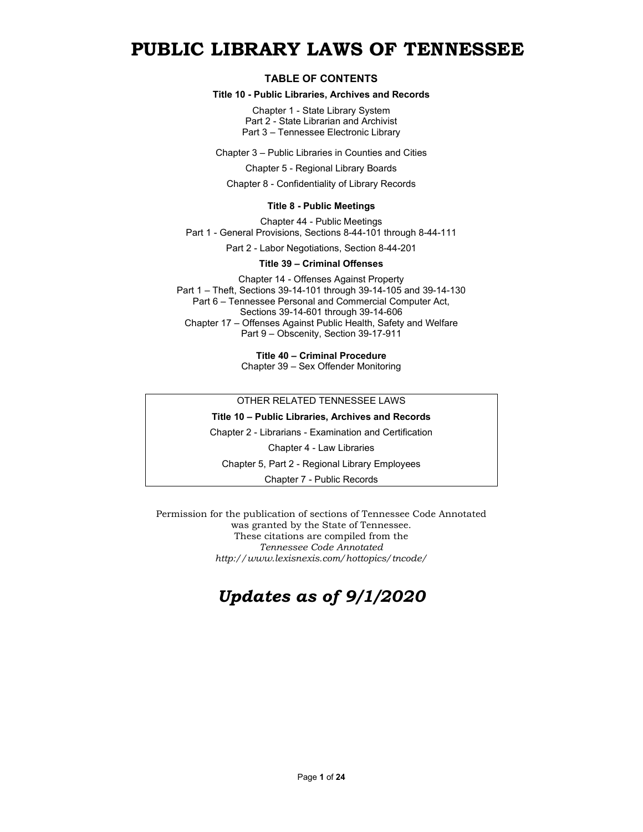# **PUBLIC LIBRARY LAWS OF TENNESSEE**

#### **TABLE OF CONTENTS**

#### **Title 10 - Public Libraries, Archives and Records**

Chapter 1 - State Library System Part 2 - State Librarian and Archivist Part 3 – Tennessee Electronic Library

Chapter 3 – Public Libraries in Counties and Cities

Chapter 5 - Regional Library Boards

Chapter 8 - Confidentiality of Library Records

#### **Title 8 - Public Meetings**

Chapter 44 - Public Meetings Part 1 - General Provisions, Sections 8-44-101 through 8-44-111

Part 2 - Labor Negotiations, Section 8-44-201

#### **Title 39 – Criminal Offenses**

Chapter 14 - Offenses Against Property Part 1 – Theft, Sections 39-14-101 through 39-14-105 and 39-14-130 Part 6 – Tennessee Personal and Commercial Computer Act, Sections 39-14-601 through 39-14-606 Chapter 17 – Offenses Against Public Health, Safety and Welfare Part 9 – Obscenity, Section 39-17-911

> **Title 40 – Criminal Procedure** Chapter 39 – Sex Offender Monitoring

#### OTHER RELATED TENNESSEE LAWS

#### **Title 10 – Public Libraries, Archives and Records**

Chapter 2 - Librarians - Examination and Certification

Chapter 4 - Law Libraries

Chapter 5, Part 2 - Regional Library Employees

Chapter 7 - Public Records

Permission for the publication of sections of Tennessee Code Annotated was granted by the State of Tennessee. These citations are compiled from the *Tennessee Code Annotated http://www.lexisnexis.com/hottopics/tncode/*

# *Updates as of 9/1/2020*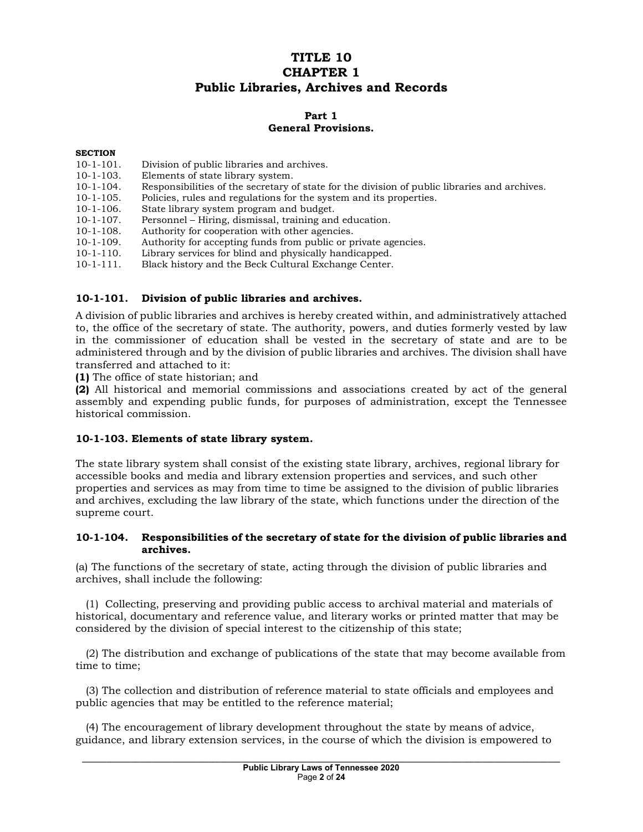# **TITLE 10 CHAPTER 1 Public Libraries, Archives and Records**

# **Part 1 General Provisions.**

#### **SECTION**

- 10-1-101. Division of public libraries and archives.
- 10-1-103. Elements of state library system.
- 10-1-104. Responsibilities of the secretary of state for the division of public libraries and archives.
- 10-1-105. Policies, rules and regulations for the system and its properties.
- 10-1-106. State library system program and budget.<br>10-1-107. Personnel Hiring, dismissal, training and
- 10-1-107. Personnel Hiring, dismissal, training and education.<br>10-1-108. Authority for cooperation with other agencies.
- 10-1-108. Authority for cooperation with other agencies.<br>10-1-109. Authority for accepting funds from public or p
- 10-1-109. Authority for accepting funds from public or private agencies.<br>10-1-110. Library services for blind and physically handicapped.
- Library services for blind and physically handicapped.
- 10-1-111. Black history and the Beck Cultural Exchange Center.

#### **10-1-101. Division of public libraries and archives.**

A division of public libraries and archives is hereby created within, and administratively attached to, the office of the secretary of state. The authority, powers, and duties formerly vested by law in the commissioner of education shall be vested in the secretary of state and are to be administered through and by the division of public libraries and archives. The division shall have transferred and attached to it:

**(1)** The office of state historian; and

**(2)** All historical and memorial commissions and associations created by act of the general assembly and expending public funds, for purposes of administration, except the Tennessee historical commission.

#### **10-1-103. Elements of state library system.**

The state library system shall consist of the existing state library, archives, regional library for accessible books and media and library extension properties and services, and such other properties and services as may from time to time be assigned to the division of public libraries and archives, excluding the law library of the state, which functions under the direction of the supreme court.

#### **10-1-104. Responsibilities of the secretary of state for the division of public libraries and archives.**

(a) The functions of the secretary of state, acting through the division of public libraries and archives, shall include the following:

 (1) Collecting, preserving and providing public access to archival material and materials of historical, documentary and reference value, and literary works or printed matter that may be considered by the division of special interest to the citizenship of this state;

 (2) The distribution and exchange of publications of the state that may become available from time to time;

 (3) The collection and distribution of reference material to state officials and employees and public agencies that may be entitled to the reference material;

 (4) The encouragement of library development throughout the state by means of advice, guidance, and library extension services, in the course of which the division is empowered to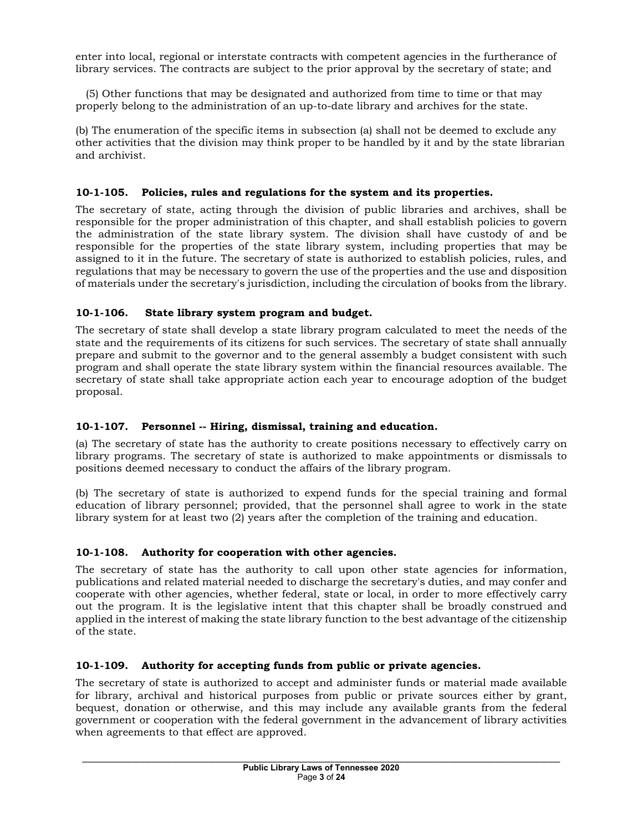enter into local, regional or interstate contracts with competent agencies in the furtherance of library services. The contracts are subject to the prior approval by the secretary of state; and

 (5) Other functions that may be designated and authorized from time to time or that may properly belong to the administration of an up-to-date library and archives for the state.

(b) The enumeration of the specific items in subsection (a) shall not be deemed to exclude any other activities that the division may think proper to be handled by it and by the state librarian and archivist.

# **10-1-105. Policies, rules and regulations for the system and its properties.**

The secretary of state, acting through the division of public libraries and archives, shall be responsible for the proper administration of this chapter, and shall establish policies to govern the administration of the state library system. The division shall have custody of and be responsible for the properties of the state library system, including properties that may be assigned to it in the future. The secretary of state is authorized to establish policies, rules, and regulations that may be necessary to govern the use of the properties and the use and disposition of materials under the secretary's jurisdiction, including the circulation of books from the library.

# **10-1-106. State library system program and budget.**

The secretary of state shall develop a state library program calculated to meet the needs of the state and the requirements of its citizens for such services. The secretary of state shall annually prepare and submit to the governor and to the general assembly a budget consistent with such program and shall operate the state library system within the financial resources available. The secretary of state shall take appropriate action each year to encourage adoption of the budget proposal.

# **10-1-107. Personnel -- Hiring, dismissal, training and education.**

(a) The secretary of state has the authority to create positions necessary to effectively carry on library programs. The secretary of state is authorized to make appointments or dismissals to positions deemed necessary to conduct the affairs of the library program.

(b) The secretary of state is authorized to expend funds for the special training and formal education of library personnel; provided, that the personnel shall agree to work in the state library system for at least two (2) years after the completion of the training and education.

# **10-1-108. Authority for cooperation with other agencies.**

The secretary of state has the authority to call upon other state agencies for information, publications and related material needed to discharge the secretary's duties, and may confer and cooperate with other agencies, whether federal, state or local, in order to more effectively carry out the program. It is the legislative intent that this chapter shall be broadly construed and applied in the interest of making the state library function to the best advantage of the citizenship of the state.

### **10-1-109. Authority for accepting funds from public or private agencies.**

The secretary of state is authorized to accept and administer funds or material made available for library, archival and historical purposes from public or private sources either by grant, bequest, donation or otherwise, and this may include any available grants from the federal government or cooperation with the federal government in the advancement of library activities when agreements to that effect are approved.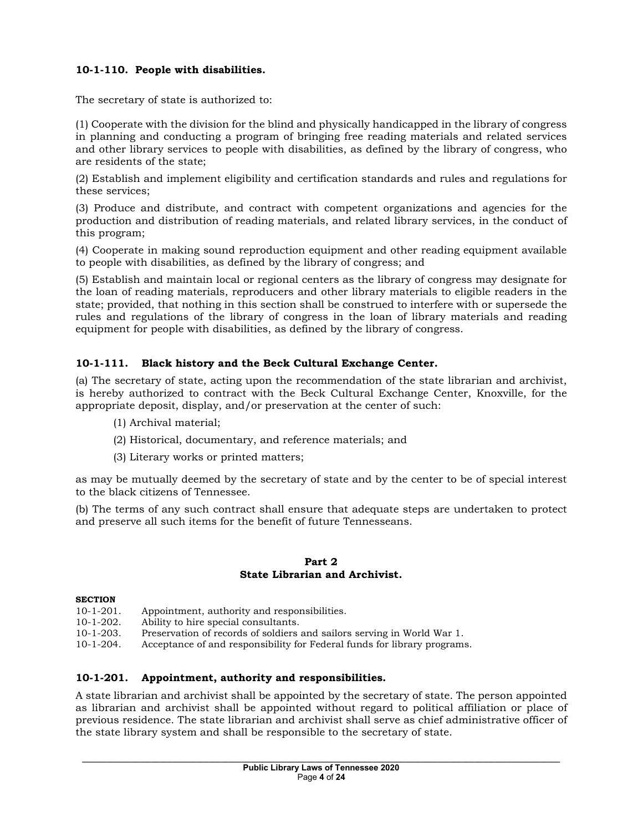# **10-1-110. People with disabilities.**

The secretary of state is authorized to:

(1) Cooperate with the division for the blind and physically handicapped in the library of congress in planning and conducting a program of bringing free reading materials and related services and other library services to people with disabilities, as defined by the library of congress, who are residents of the state;

(2) Establish and implement eligibility and certification standards and rules and regulations for these services;

(3) Produce and distribute, and contract with competent organizations and agencies for the production and distribution of reading materials, and related library services, in the conduct of this program;

(4) Cooperate in making sound reproduction equipment and other reading equipment available to people with disabilities, as defined by the library of congress; and

(5) Establish and maintain local or regional centers as the library of congress may designate for the loan of reading materials, reproducers and other library materials to eligible readers in the state; provided, that nothing in this section shall be construed to interfere with or supersede the rules and regulations of the library of congress in the loan of library materials and reading equipment for people with disabilities, as defined by the library of congress.

### **10-1-111. Black history and the Beck Cultural Exchange Center.**

(a) The secretary of state, acting upon the recommendation of the state librarian and archivist, is hereby authorized to contract with the Beck Cultural Exchange Center, Knoxville, for the appropriate deposit, display, and/or preservation at the center of such:

- (1) Archival material;
- (2) Historical, documentary, and reference materials; and
- (3) Literary works or printed matters;

as may be mutually deemed by the secretary of state and by the center to be of special interest to the black citizens of Tennessee.

(b) The terms of any such contract shall ensure that adequate steps are undertaken to protect and preserve all such items for the benefit of future Tennesseans.

#### **Part 2 State Librarian and Archivist.**

#### **SECTION**

- 10-1-201. Appointment, authority and responsibilities.<br>10-1-202. Ability to hire special consultants.
- Ability to hire special consultants.
- 10-1-203. Preservation of records of soldiers and sailors serving in World War 1.
- 10-1-204. Acceptance of and responsibility for Federal funds for library programs.

#### **10-1-201. Appointment, authority and responsibilities.**

A state librarian and archivist shall be appointed by the secretary of state. The person appointed as librarian and archivist shall be appointed without regard to political affiliation or place of previous residence. The state librarian and archivist shall serve as chief administrative officer of the state library system and shall be responsible to the secretary of state.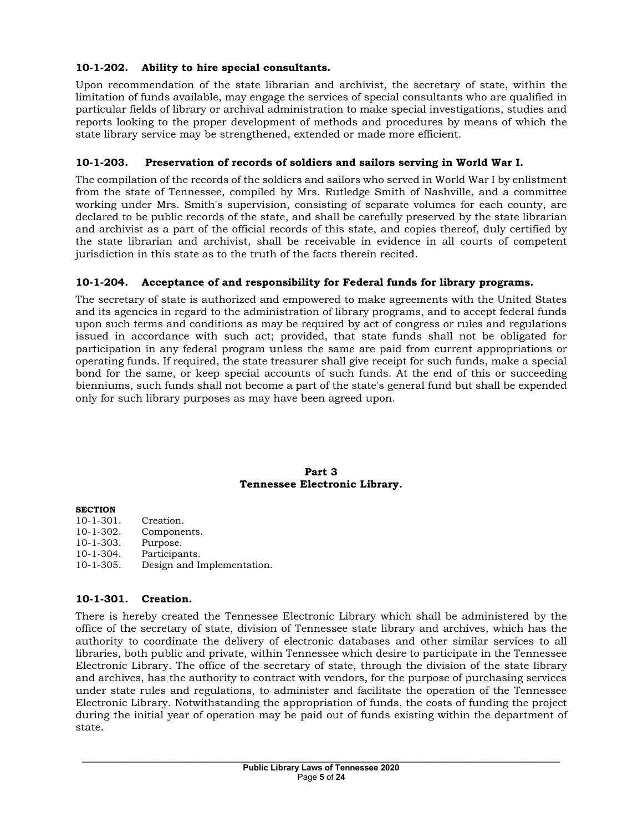# **10-1-202. Ability to hire special consultants.**

Upon recommendation of the state librarian and archivist, the secretary of state, within the limitation of funds available, may engage the services of special consultants who are qualified in particular fields of library or archival administration to make special investigations, studies and reports looking to the proper development of methods and procedures by means of which the state library service may be strengthened, extended or made more efficient.

# **10-1-203. Preservation of records of soldiers and sailors serving in World War I.**

The compilation of the records of the soldiers and sailors who served in World War I by enlistment from the state of Tennessee, compiled by Mrs. Rutledge Smith of Nashville, and a committee working under Mrs. Smith's supervision, consisting of separate volumes for each county, are declared to be public records of the state, and shall be carefully preserved by the state librarian and archivist as a part of the official records of this state, and copies thereof, duly certified by the state librarian and archivist, shall be receivable in evidence in all courts of competent jurisdiction in this state as to the truth of the facts therein recited.

### **10-1-204. Acceptance of and responsibility for Federal funds for library programs.**

The secretary of state is authorized and empowered to make agreements with the United States and its agencies in regard to the administration of library programs, and to accept federal funds upon such terms and conditions as may be required by act of congress or rules and regulations issued in accordance with such act; provided, that state funds shall not be obligated for participation in any federal program unless the same are paid from current appropriations or operating funds. If required, the state treasurer shall give receipt for such funds, make a special bond for the same, or keep special accounts of such funds. At the end of this or succeeding bienniums, such funds shall not become a part of the state's general fund but shall be expended only for such library purposes as may have been agreed upon.

#### **Part 3 Tennessee Electronic Library.**

#### **SECTION**

10-1-301. Creation.<br>10-1-302. Compone Components.<br>Purpose. 10-1-303.<br>10-1-304. 10-1-304. Participants. Design and Implementation.

### **10-1-301. Creation.**

There is hereby created the Tennessee Electronic Library which shall be administered by the office of the secretary of state, division of Tennessee state library and archives, which has the authority to coordinate the delivery of electronic databases and other similar services to all libraries, both public and private, within Tennessee which desire to participate in the Tennessee Electronic Library. The office of the secretary of state, through the division of the state library and archives, has the authority to contract with vendors, for the purpose of purchasing services under state rules and regulations, to administer and facilitate the operation of the Tennessee Electronic Library. Notwithstanding the appropriation of funds, the costs of funding the project during the initial year of operation may be paid out of funds existing within the department of state.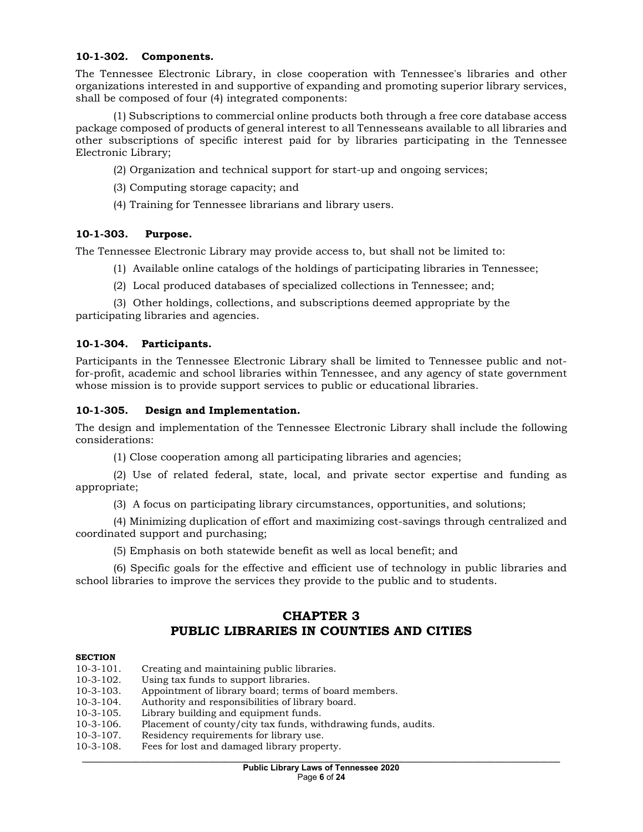#### **10-1-302. Components.**

The Tennessee Electronic Library, in close cooperation with Tennessee's libraries and other organizations interested in and supportive of expanding and promoting superior library services, shall be composed of four (4) integrated components:

(1) Subscriptions to commercial online products both through a free core database access package composed of products of general interest to all Tennesseans available to all libraries and other subscriptions of specific interest paid for by libraries participating in the Tennessee Electronic Library;

- (2) Organization and technical support for start-up and ongoing services;
- (3) Computing storage capacity; and
- (4) Training for Tennessee librarians and library users.

### **10-1-303. Purpose.**

The Tennessee Electronic Library may provide access to, but shall not be limited to:

- (1) Available online catalogs of the holdings of participating libraries in Tennessee;
- (2) Local produced databases of specialized collections in Tennessee; and;

(3) Other holdings, collections, and subscriptions deemed appropriate by the participating libraries and agencies.

### **10-1-304. Participants.**

Participants in the Tennessee Electronic Library shall be limited to Tennessee public and notfor-profit, academic and school libraries within Tennessee, and any agency of state government whose mission is to provide support services to public or educational libraries.

#### **10-1-305. Design and Implementation.**

The design and implementation of the Tennessee Electronic Library shall include the following considerations:

(1) Close cooperation among all participating libraries and agencies;

(2) Use of related federal, state, local, and private sector expertise and funding as appropriate;

(3) A focus on participating library circumstances, opportunities, and solutions;

(4) Minimizing duplication of effort and maximizing cost-savings through centralized and coordinated support and purchasing;

(5) Emphasis on both statewide benefit as well as local benefit; and

(6) Specific goals for the effective and efficient use of technology in public libraries and school libraries to improve the services they provide to the public and to students.

# **CHAPTER 3 PUBLIC LIBRARIES IN COUNTIES AND CITIES**

#### **SECTION**

| $10-3-101.$      | Creating and maintaining public libraries.                     |
|------------------|----------------------------------------------------------------|
| $10-3-102.$      | Using tax funds to support libraries.                          |
| $10-3-103.$      | Appointment of library board; terms of board members.          |
| $10-3-104.$      | Authority and responsibilities of library board.               |
| $10 - 3 - 105$ . | Library building and equipment funds.                          |
| $10-3-106.$      | Placement of county/city tax funds, withdrawing funds, audits. |
| $10-3-107$ .     | Residency requirements for library use.                        |
| $10-3-108.$      | Fees for lost and damaged library property.                    |
|                  |                                                                |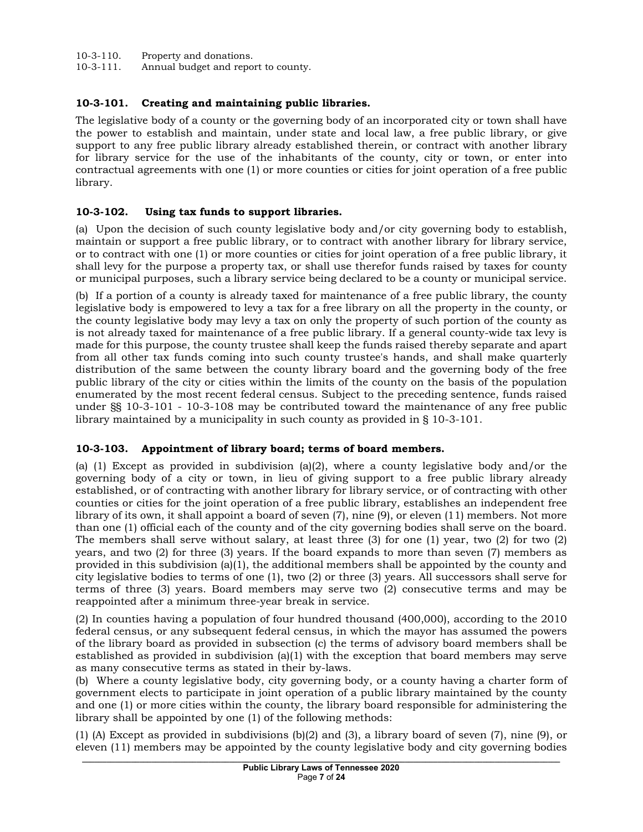10-3-110. Property and donations.

10-3-111. Annual budget and report to county.

# **10-3-101. Creating and maintaining public libraries.**

The legislative body of a county or the governing body of an incorporated city or town shall have the power to establish and maintain, under state and local law, a free public library, or give support to any free public library already established therein, or contract with another library for library service for the use of the inhabitants of the county, city or town, or enter into contractual agreements with one (1) or more counties or cities for joint operation of a free public library.

## **10-3-102. Using tax funds to support libraries.**

(a) Upon the decision of such county legislative body and/or city governing body to establish, maintain or support a free public library, or to contract with another library for library service, or to contract with one (1) or more counties or cities for joint operation of a free public library, it shall levy for the purpose a property tax, or shall use therefor funds raised by taxes for county or municipal purposes, such a library service being declared to be a county or municipal service.

(b) If a portion of a county is already taxed for maintenance of a free public library, the county legislative body is empowered to levy a tax for a free library on all the property in the county, or the county legislative body may levy a tax on only the property of such portion of the county as is not already taxed for maintenance of a free public library. If a general county-wide tax levy is made for this purpose, the county trustee shall keep the funds raised thereby separate and apart from all other tax funds coming into such county trustee's hands, and shall make quarterly distribution of the same between the county library board and the governing body of the free public library of the city or cities within the limits of the county on the basis of the population enumerated by the most recent federal census. Subject to the preceding sentence, funds raised under §§ 10-3-101 - 10-3-108 may be contributed toward the maintenance of any free public library maintained by a municipality in such county as provided in § 10-3-101.

### **10-3-103. Appointment of library board; terms of board members.**

(a) (1) Except as provided in subdivision (a)(2), where a county legislative body and/or the governing body of a city or town, in lieu of giving support to a free public library already established, or of contracting with another library for library service, or of contracting with other counties or cities for the joint operation of a free public library, establishes an independent free library of its own, it shall appoint a board of seven (7), nine (9), or eleven (11) members. Not more than one (1) official each of the county and of the city governing bodies shall serve on the board. The members shall serve without salary, at least three (3) for one (1) year, two (2) for two (2) years, and two (2) for three (3) years. If the board expands to more than seven (7) members as provided in this subdivision (a)(1), the additional members shall be appointed by the county and city legislative bodies to terms of one (1), two (2) or three (3) years. All successors shall serve for terms of three (3) years. Board members may serve two (2) consecutive terms and may be reappointed after a minimum three-year break in service.

(2) In counties having a population of four hundred thousand (400,000), according to the 2010 federal census, or any subsequent federal census, in which the mayor has assumed the powers of the library board as provided in subsection (c) the terms of advisory board members shall be established as provided in subdivision  $(a)(1)$  with the exception that board members may serve as many consecutive terms as stated in their by-laws.

(b) Where a county legislative body, city governing body, or a county having a charter form of government elects to participate in joint operation of a public library maintained by the county and one (1) or more cities within the county, the library board responsible for administering the library shall be appointed by one (1) of the following methods:

(1) (A) Except as provided in subdivisions (b)(2) and (3), a library board of seven (7), nine (9), or eleven (11) members may be appointed by the county legislative body and city governing bodies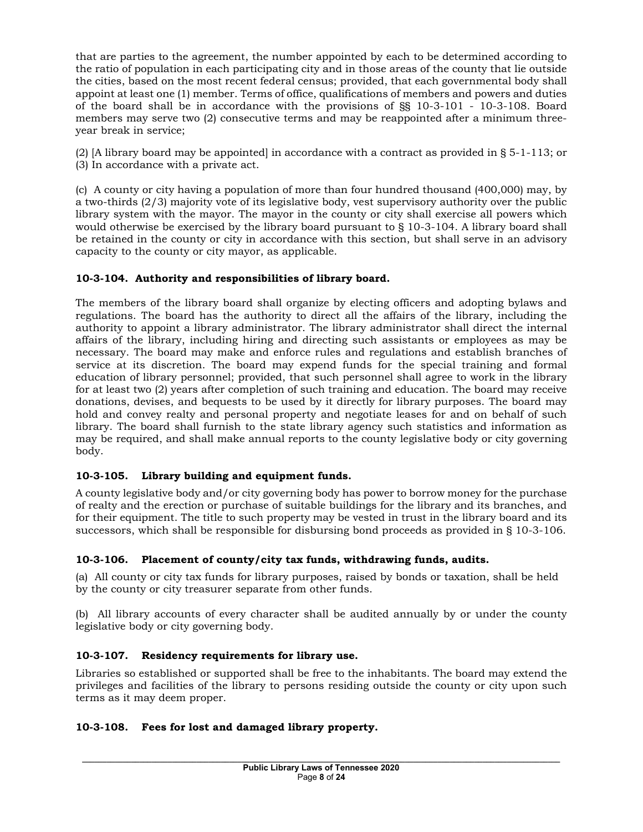that are parties to the agreement, the number appointed by each to be determined according to the ratio of population in each participating city and in those areas of the county that lie outside the cities, based on the most recent federal census; provided, that each governmental body shall appoint at least one (1) member. Terms of office, qualifications of members and powers and duties of the board shall be in accordance with the provisions of §§ 10-3-101 - 10-3-108. Board members may serve two (2) consecutive terms and may be reappointed after a minimum threeyear break in service;

(2) [A library board may be appointed] in accordance with a contract as provided in § 5-1-113; or (3) In accordance with a private act.

(c) A county or city having a population of more than four hundred thousand (400,000) may, by a two-thirds (2/3) majority vote of its legislative body, vest supervisory authority over the public library system with the mayor. The mayor in the county or city shall exercise all powers which would otherwise be exercised by the library board pursuant to § 10-3-104. A library board shall be retained in the county or city in accordance with this section, but shall serve in an advisory capacity to the county or city mayor, as applicable.

# **10-3-104. Authority and responsibilities of library board.**

The members of the library board shall organize by electing officers and adopting bylaws and regulations. The board has the authority to direct all the affairs of the library, including the authority to appoint a library administrator. The library administrator shall direct the internal affairs of the library, including hiring and directing such assistants or employees as may be necessary. The board may make and enforce rules and regulations and establish branches of service at its discretion. The board may expend funds for the special training and formal education of library personnel; provided, that such personnel shall agree to work in the library for at least two (2) years after completion of such training and education. The board may receive donations, devises, and bequests to be used by it directly for library purposes. The board may hold and convey realty and personal property and negotiate leases for and on behalf of such library. The board shall furnish to the state library agency such statistics and information as may be required, and shall make annual reports to the county legislative body or city governing body.

# **10-3-105. Library building and equipment funds.**

A county legislative body and/or city governing body has power to borrow money for the purchase of realty and the erection or purchase of suitable buildings for the library and its branches, and for their equipment. The title to such property may be vested in trust in the library board and its successors, which shall be responsible for disbursing bond proceeds as provided in § 10-3-106.

# **10-3-106. Placement of county/city tax funds, withdrawing funds, audits.**

(a) All county or city tax funds for library purposes, raised by bonds or taxation, shall be held by the county or city treasurer separate from other funds.

(b) All library accounts of every character shall be audited annually by or under the county legislative body or city governing body.

# **10-3-107. Residency requirements for library use.**

Libraries so established or supported shall be free to the inhabitants. The board may extend the privileges and facilities of the library to persons residing outside the county or city upon such terms as it may deem proper.

# **10-3-108. Fees for lost and damaged library property.**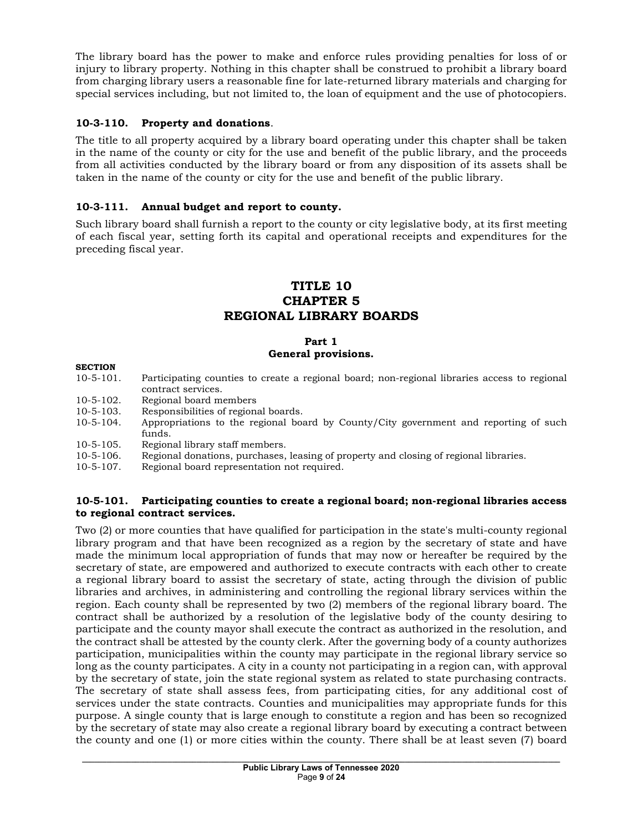The library board has the power to make and enforce rules providing penalties for loss of or injury to library property. Nothing in this chapter shall be construed to prohibit a library board from charging library users a reasonable fine for late-returned library materials and charging for special services including, but not limited to, the loan of equipment and the use of photocopiers.

# **10-3-110. Property and donations**.

The title to all property acquired by a library board operating under this chapter shall be taken in the name of the county or city for the use and benefit of the public library, and the proceeds from all activities conducted by the library board or from any disposition of its assets shall be taken in the name of the county or city for the use and benefit of the public library.

# **10-3-111. Annual budget and report to county.**

Such library board shall furnish a report to the county or city legislative body, at its first meeting of each fiscal year, setting forth its capital and operational receipts and expenditures for the preceding fiscal year.

# **TITLE 10 CHAPTER 5 REGIONAL LIBRARY BOARDS**

#### **Part 1 General provisions.**

### **SECTION**

- 10-5-101. Participating counties to create a regional board; non-regional libraries access to regional contract services.
- 10-5-102. Regional board members<br>10-5-103. Responsibilities of regional
- 10-5-103. Responsibilities of regional boards.<br>10-5-104. Appropriations to the regional boa
- Appropriations to the regional board by County/City government and reporting of such funds.
- 10-5-105. Regional library staff members.<br>10-5-106. Regional donations, purchases.
- 10-5-106. Regional donations, purchases, leasing of property and closing of regional libraries.<br>10-5-107. Regional board representation not required.
- Regional board representation not required.

#### **10-5-101. Participating counties to create a regional board; non-regional libraries access to regional contract services.**

Two (2) or more counties that have qualified for participation in the state's multi-county regional library program and that have been recognized as a region by the secretary of state and have made the minimum local appropriation of funds that may now or hereafter be required by the secretary of state, are empowered and authorized to execute contracts with each other to create a regional library board to assist the secretary of state, acting through the division of public libraries and archives, in administering and controlling the regional library services within the region. Each county shall be represented by two (2) members of the regional library board. The contract shall be authorized by a resolution of the legislative body of the county desiring to participate and the county mayor shall execute the contract as authorized in the resolution, and the contract shall be attested by the county clerk. After the governing body of a county authorizes participation, municipalities within the county may participate in the regional library service so long as the county participates. A city in a county not participating in a region can, with approval by the secretary of state, join the state regional system as related to state purchasing contracts. The secretary of state shall assess fees, from participating cities, for any additional cost of services under the state contracts. Counties and municipalities may appropriate funds for this purpose. A single county that is large enough to constitute a region and has been so recognized by the secretary of state may also create a regional library board by executing a contract between the county and one (1) or more cities within the county. There shall be at least seven (7) board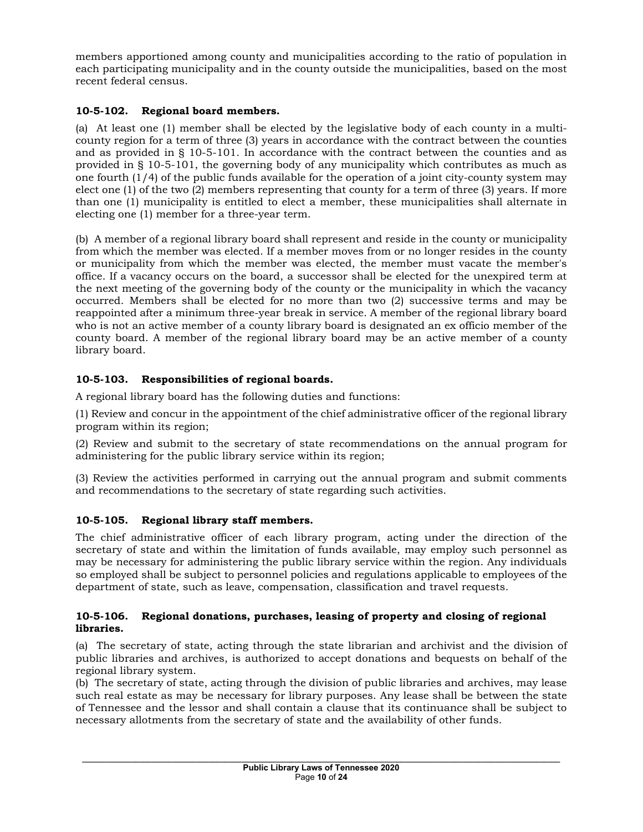members apportioned among county and municipalities according to the ratio of population in each participating municipality and in the county outside the municipalities, based on the most recent federal census.

# **10-5-102. Regional board members.**

(a) At least one (1) member shall be elected by the legislative body of each county in a multicounty region for a term of three (3) years in accordance with the contract between the counties and as provided in § 10-5-101. In accordance with the contract between the counties and as provided in § 10-5-101, the governing body of any municipality which contributes as much as one fourth (1/4) of the public funds available for the operation of a joint city-county system may elect one (1) of the two (2) members representing that county for a term of three (3) years. If more than one (1) municipality is entitled to elect a member, these municipalities shall alternate in electing one (1) member for a three-year term.

(b) A member of a regional library board shall represent and reside in the county or municipality from which the member was elected. If a member moves from or no longer resides in the county or municipality from which the member was elected, the member must vacate the member's office. If a vacancy occurs on the board, a successor shall be elected for the unexpired term at the next meeting of the governing body of the county or the municipality in which the vacancy occurred. Members shall be elected for no more than two (2) successive terms and may be reappointed after a minimum three-year break in service. A member of the regional library board who is not an active member of a county library board is designated an ex officio member of the county board. A member of the regional library board may be an active member of a county library board.

# **10-5-103. Responsibilities of regional boards.**

A regional library board has the following duties and functions:

(1) Review and concur in the appointment of the chief administrative officer of the regional library program within its region;

(2) Review and submit to the secretary of state recommendations on the annual program for administering for the public library service within its region;

(3) Review the activities performed in carrying out the annual program and submit comments and recommendations to the secretary of state regarding such activities.

# **10-5-105. Regional library staff members.**

The chief administrative officer of each library program, acting under the direction of the secretary of state and within the limitation of funds available, may employ such personnel as may be necessary for administering the public library service within the region. Any individuals so employed shall be subject to personnel policies and regulations applicable to employees of the department of state, such as leave, compensation, classification and travel requests.

#### **10-5-106. Regional donations, purchases, leasing of property and closing of regional libraries.**

(a) The secretary of state, acting through the state librarian and archivist and the division of public libraries and archives, is authorized to accept donations and bequests on behalf of the regional library system.

(b) The secretary of state, acting through the division of public libraries and archives, may lease such real estate as may be necessary for library purposes. Any lease shall be between the state of Tennessee and the lessor and shall contain a clause that its continuance shall be subject to necessary allotments from the secretary of state and the availability of other funds.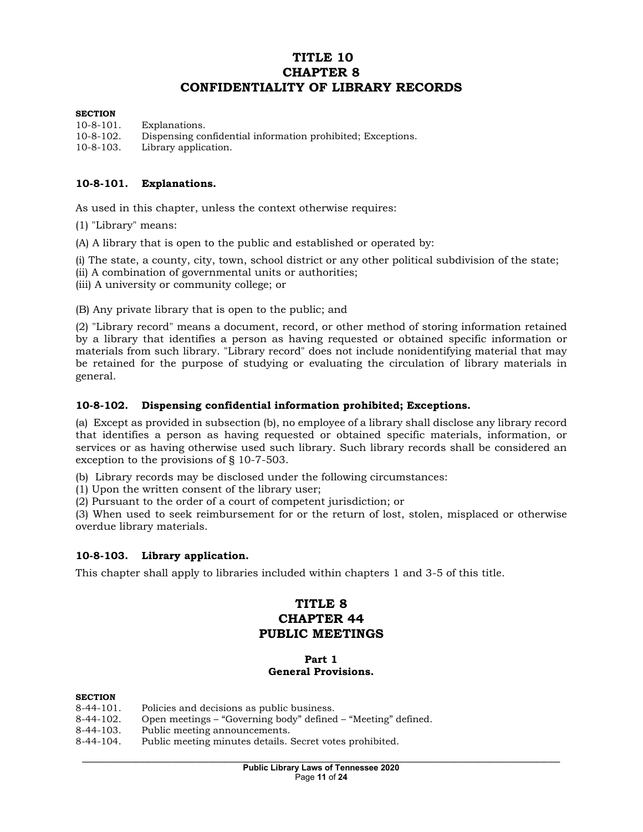# **TITLE 10 CHAPTER 8 CONFIDENTIALITY OF LIBRARY RECORDS**

#### **SECTION**

10-8-101. Explanations. 10-8-102. Dispensing confidential information prohibited; Exceptions. 10-8-103. Library application.

#### **10-8-101. Explanations.**

As used in this chapter, unless the context otherwise requires:

(1) "Library" means:

(A) A library that is open to the public and established or operated by:

(i) The state, a county, city, town, school district or any other political subdivision of the state;

(ii) A combination of governmental units or authorities;

(iii) A university or community college; or

(B) Any private library that is open to the public; and

(2) "Library record" means a document, record, or other method of storing information retained by a library that identifies a person as having requested or obtained specific information or materials from such library. "Library record" does not include nonidentifying material that may be retained for the purpose of studying or evaluating the circulation of library materials in general.

#### **10-8-102. Dispensing confidential information prohibited; Exceptions.**

(a) Except as provided in subsection (b), no employee of a library shall disclose any library record that identifies a person as having requested or obtained specific materials, information, or services or as having otherwise used such library. Such library records shall be considered an exception to the provisions of § 10-7-503.

(b) Library records may be disclosed under the following circumstances:

(1) Upon the written consent of the library user;

(2) Pursuant to the order of a court of competent jurisdiction; or

(3) When used to seek reimbursement for or the return of lost, stolen, misplaced or otherwise overdue library materials.

#### **10-8-103. Library application.**

This chapter shall apply to libraries included within chapters 1 and 3-5 of this title.

# **TITLE 8 CHAPTER 44 PUBLIC MEETINGS**

#### **Part 1 General Provisions.**

#### **SECTION**

- 8-44-101. Policies and decisions as public business.
- 8-44-102. Open meetings "Governing body" defined "Meeting" defined.
- 8-44-103. Public meeting announcements.<br>8-44-104. Public meeting minutes details.
- Public meeting minutes details. Secret votes prohibited.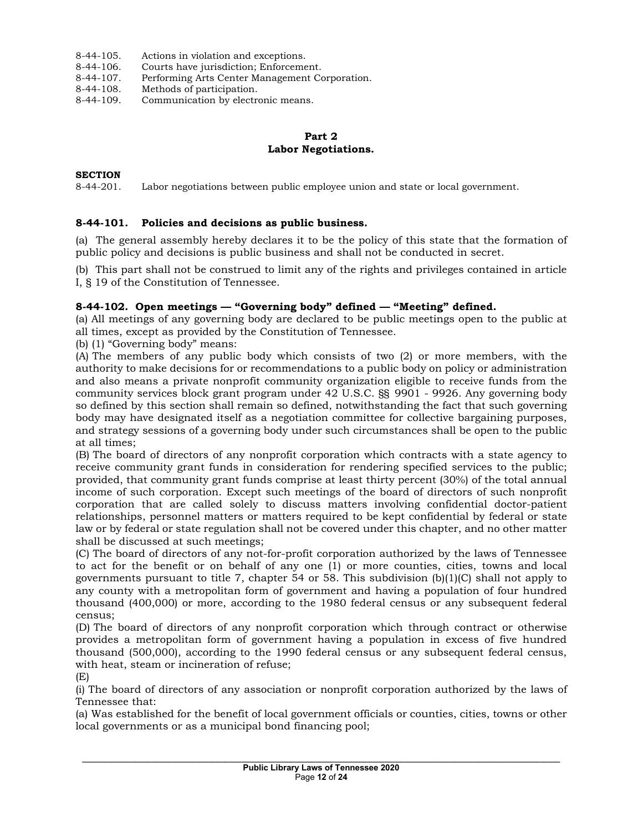- 8-44-105. Actions in violation and exceptions.
- 8-44-106. Courts have jurisdiction; Enforcement.<br>8-44-107. Performing Arts Center Management Co
- 8-44-107. Performing Arts Center Management Corporation.<br>8-44-108. Methods of participation.
- 8-44-108. Methods of participation.<br>8-44-109. Communication by electro
- Communication by electronic means.

### **Part 2 Labor Negotiations.**

#### **SECTION**

8-44-201. Labor negotiations between public employee union and state or local government.

#### **8-44-101. Policies and decisions as public business.**

(a) The general assembly hereby declares it to be the policy of this state that the formation of public policy and decisions is public business and shall not be conducted in secret.

(b) This part shall not be construed to limit any of the rights and privileges contained in article I, § 19 of the Constitution of Tennessee.

#### **8-44-102. Open meetings — "Governing body" defined — "Meeting" defined.**

(a) All meetings of any governing body are declared to be public meetings open to the public at all times, except as provided by the Constitution of Tennessee.

(b) (1) "Governing body" means:

(A) The members of any public body which consists of two (2) or more members, with the authority to make decisions for or recommendations to a public body on policy or administration and also means a private nonprofit community organization eligible to receive funds from the community services block grant program under 42 U.S.C. §§ 9901 - 9926. Any governing body so defined by this section shall remain so defined, notwithstanding the fact that such governing body may have designated itself as a negotiation committee for collective bargaining purposes, and strategy sessions of a governing body under such circumstances shall be open to the public at all times;

(B) The board of directors of any nonprofit corporation which contracts with a state agency to receive community grant funds in consideration for rendering specified services to the public; provided, that community grant funds comprise at least thirty percent (30%) of the total annual income of such corporation. Except such meetings of the board of directors of such nonprofit corporation that are called solely to discuss matters involving confidential doctor-patient relationships, personnel matters or matters required to be kept confidential by federal or state law or by federal or state regulation shall not be covered under this chapter, and no other matter shall be discussed at such meetings;

(C) The board of directors of any not-for-profit corporation authorized by the laws of Tennessee to act for the benefit or on behalf of any one (1) or more counties, cities, towns and local governments pursuant to title 7, chapter 54 or 58. This subdivision (b)(1)(C) shall not apply to any county with a metropolitan form of government and having a population of four hundred thousand (400,000) or more, according to the 1980 federal census or any subsequent federal census;

(D) The board of directors of any nonprofit corporation which through contract or otherwise provides a metropolitan form of government having a population in excess of five hundred thousand (500,000), according to the 1990 federal census or any subsequent federal census, with heat, steam or incineration of refuse;

(E)

(i) The board of directors of any association or nonprofit corporation authorized by the laws of Tennessee that:

(a) Was established for the benefit of local government officials or counties, cities, towns or other local governments or as a municipal bond financing pool;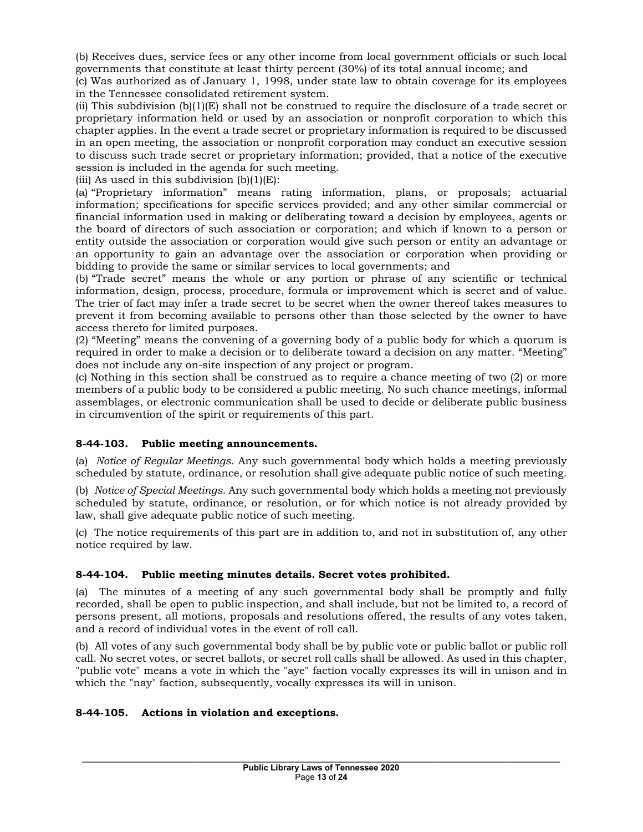(b) Receives dues, service fees or any other income from local government officials or such local governments that constitute at least thirty percent (30%) of its total annual income; and

(c) Was authorized as of January 1, 1998, under state law to obtain coverage for its employees in the Tennessee consolidated retirement system.

(ii) This subdivision  $(b)(1)(E)$  shall not be construed to require the disclosure of a trade secret or proprietary information held or used by an association or nonprofit corporation to which this chapter applies. In the event a trade secret or proprietary information is required to be discussed in an open meeting, the association or nonprofit corporation may conduct an executive session to discuss such trade secret or proprietary information; provided, that a notice of the executive session is included in the agenda for such meeting.

(iii) As used in this subdivision  $(b)(1)(E)$ :

(a) "Proprietary information" means rating information, plans, or proposals; actuarial information; specifications for specific services provided; and any other similar commercial or financial information used in making or deliberating toward a decision by employees, agents or the board of directors of such association or corporation; and which if known to a person or entity outside the association or corporation would give such person or entity an advantage or an opportunity to gain an advantage over the association or corporation when providing or bidding to provide the same or similar services to local governments; and

(b) "Trade secret" means the whole or any portion or phrase of any scientific or technical information, design, process, procedure, formula or improvement which is secret and of value. The trier of fact may infer a trade secret to be secret when the owner thereof takes measures to prevent it from becoming available to persons other than those selected by the owner to have access thereto for limited purposes.

(2) "Meeting" means the convening of a governing body of a public body for which a quorum is required in order to make a decision or to deliberate toward a decision on any matter. "Meeting" does not include any on-site inspection of any project or program.

(c) Nothing in this section shall be construed as to require a chance meeting of two (2) or more members of a public body to be considered a public meeting. No such chance meetings, informal assemblages, or electronic communication shall be used to decide or deliberate public business in circumvention of the spirit or requirements of this part.

### **8-44-103. Public meeting announcements.**

(a) *Notice of Regular Meetings.* Any such governmental body which holds a meeting previously scheduled by statute, ordinance, or resolution shall give adequate public notice of such meeting.

(b) *Notice of Special Meetings.* Any such governmental body which holds a meeting not previously scheduled by statute, ordinance, or resolution, or for which notice is not already provided by law, shall give adequate public notice of such meeting.

(c) The notice requirements of this part are in addition to, and not in substitution of, any other notice required by law.

# **8-44-104. Public meeting minutes details. Secret votes prohibited.**

(a) The minutes of a meeting of any such governmental body shall be promptly and fully recorded, shall be open to public inspection, and shall include, but not be limited to, a record of persons present, all motions, proposals and resolutions offered, the results of any votes taken, and a record of individual votes in the event of roll call.

(b) All votes of any such governmental body shall be by public vote or public ballot or public roll call. No secret votes, or secret ballots, or secret roll calls shall be allowed. As used in this chapter, "public vote" means a vote in which the "aye" faction vocally expresses its will in unison and in which the "nay" faction, subsequently, vocally expresses its will in unison.

### **8-44-105. Actions in violation and exceptions.**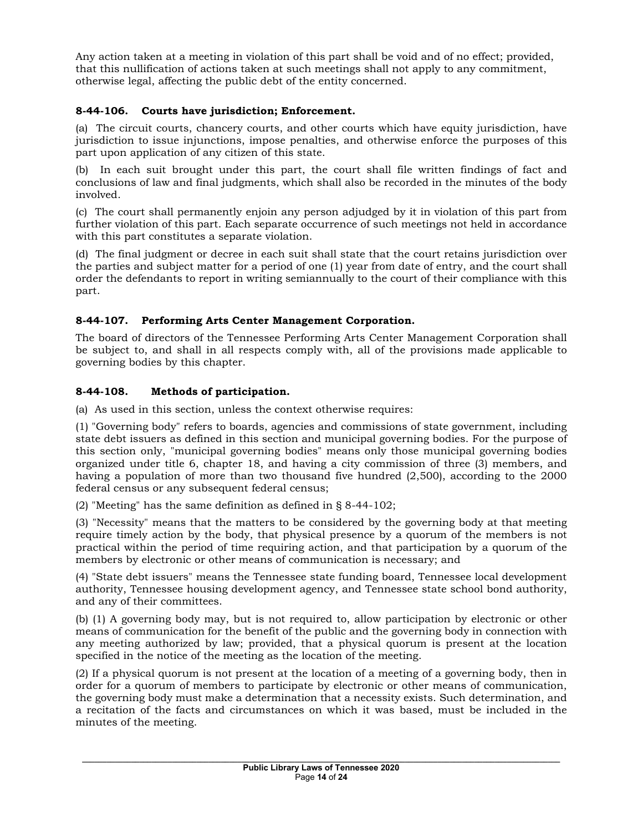Any action taken at a meeting in violation of this part shall be void and of no effect; provided, that this nullification of actions taken at such meetings shall not apply to any commitment, otherwise legal, affecting the public debt of the entity concerned.

# **8-44-106. Courts have jurisdiction; Enforcement.**

(a) The circuit courts, chancery courts, and other courts which have equity jurisdiction, have jurisdiction to issue injunctions, impose penalties, and otherwise enforce the purposes of this part upon application of any citizen of this state.

(b) In each suit brought under this part, the court shall file written findings of fact and conclusions of law and final judgments, which shall also be recorded in the minutes of the body involved.

(c) The court shall permanently enjoin any person adjudged by it in violation of this part from further violation of this part. Each separate occurrence of such meetings not held in accordance with this part constitutes a separate violation.

(d) The final judgment or decree in each suit shall state that the court retains jurisdiction over the parties and subject matter for a period of one (1) year from date of entry, and the court shall order the defendants to report in writing semiannually to the court of their compliance with this part.

# **8-44-107. Performing Arts Center Management Corporation.**

The board of directors of the Tennessee Performing Arts Center Management Corporation shall be subject to, and shall in all respects comply with, all of the provisions made applicable to governing bodies by this chapter.

# **8-44-108. Methods of participation.**

(a) As used in this section, unless the context otherwise requires:

(1) "Governing body" refers to boards, agencies and commissions of state government, including state debt issuers as defined in this section and municipal governing bodies. For the purpose of this section only, "municipal governing bodies" means only those municipal governing bodies organized under title 6, chapter 18, and having a city commission of three (3) members, and having a population of more than two thousand five hundred (2,500), according to the 2000 federal census or any subsequent federal census;

(2) "Meeting" has the same definition as defined in § 8-44-102;

(3) "Necessity" means that the matters to be considered by the governing body at that meeting require timely action by the body, that physical presence by a quorum of the members is not practical within the period of time requiring action, and that participation by a quorum of the members by electronic or other means of communication is necessary; and

(4) "State debt issuers" means the Tennessee state funding board, Tennessee local development authority, Tennessee housing development agency, and Tennessee state school bond authority, and any of their committees.

(b) (1) A governing body may, but is not required to, allow participation by electronic or other means of communication for the benefit of the public and the governing body in connection with any meeting authorized by law; provided, that a physical quorum is present at the location specified in the notice of the meeting as the location of the meeting.

(2) If a physical quorum is not present at the location of a meeting of a governing body, then in order for a quorum of members to participate by electronic or other means of communication, the governing body must make a determination that a necessity exists. Such determination, and a recitation of the facts and circumstances on which it was based, must be included in the minutes of the meeting.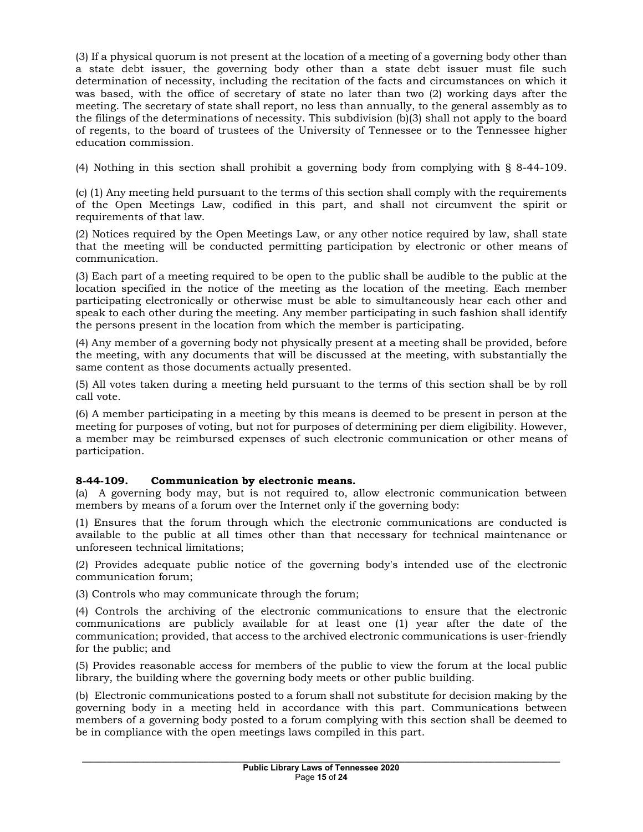(3) If a physical quorum is not present at the location of a meeting of a governing body other than a state debt issuer, the governing body other than a state debt issuer must file such determination of necessity, including the recitation of the facts and circumstances on which it was based, with the office of secretary of state no later than two (2) working days after the meeting. The secretary of state shall report, no less than annually, to the general assembly as to the filings of the determinations of necessity. This subdivision (b)(3) shall not apply to the board of regents, to the board of trustees of the University of Tennessee or to the Tennessee higher education commission.

(4) Nothing in this section shall prohibit a governing body from complying with § 8-44-109.

(c) (1) Any meeting held pursuant to the terms of this section shall comply with the requirements of the Open Meetings Law, codified in this part, and shall not circumvent the spirit or requirements of that law.

(2) Notices required by the Open Meetings Law, or any other notice required by law, shall state that the meeting will be conducted permitting participation by electronic or other means of communication.

(3) Each part of a meeting required to be open to the public shall be audible to the public at the location specified in the notice of the meeting as the location of the meeting. Each member participating electronically or otherwise must be able to simultaneously hear each other and speak to each other during the meeting. Any member participating in such fashion shall identify the persons present in the location from which the member is participating.

(4) Any member of a governing body not physically present at a meeting shall be provided, before the meeting, with any documents that will be discussed at the meeting, with substantially the same content as those documents actually presented.

(5) All votes taken during a meeting held pursuant to the terms of this section shall be by roll call vote.

(6) A member participating in a meeting by this means is deemed to be present in person at the meeting for purposes of voting, but not for purposes of determining per diem eligibility. However, a member may be reimbursed expenses of such electronic communication or other means of participation.

### **8-44-109. Communication by electronic means.**

(a) A governing body may, but is not required to, allow electronic communication between members by means of a forum over the Internet only if the governing body:

(1) Ensures that the forum through which the electronic communications are conducted is available to the public at all times other than that necessary for technical maintenance or unforeseen technical limitations;

(2) Provides adequate public notice of the governing body's intended use of the electronic communication forum;

(3) Controls who may communicate through the forum;

(4) Controls the archiving of the electronic communications to ensure that the electronic communications are publicly available for at least one (1) year after the date of the communication; provided, that access to the archived electronic communications is user-friendly for the public; and

(5) Provides reasonable access for members of the public to view the forum at the local public library, the building where the governing body meets or other public building.

(b) Electronic communications posted to a forum shall not substitute for decision making by the governing body in a meeting held in accordance with this part. Communications between members of a governing body posted to a forum complying with this section shall be deemed to be in compliance with the open meetings laws compiled in this part.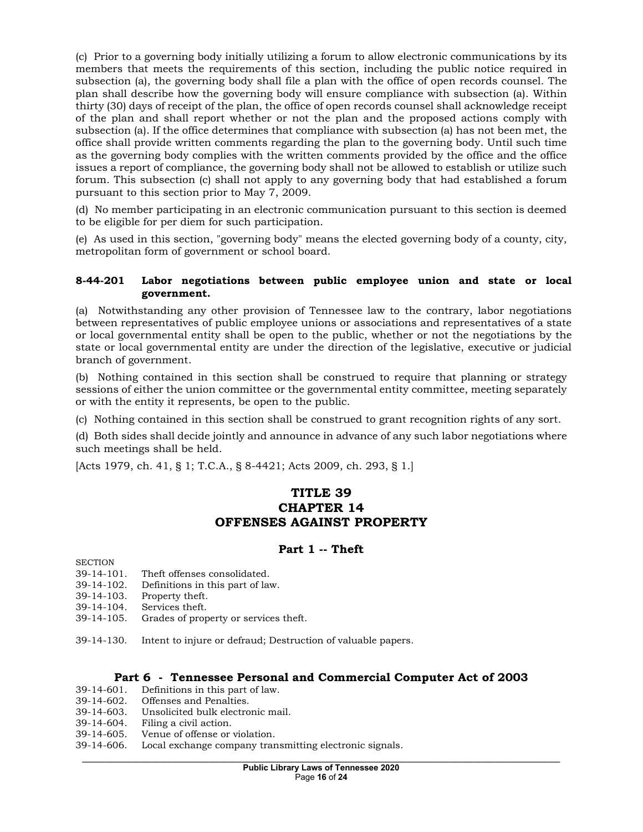(c) Prior to a governing body initially utilizing a forum to allow electronic communications by its members that meets the requirements of this section, including the public notice required in subsection (a), the governing body shall file a plan with the office of open records counsel. The plan shall describe how the governing body will ensure compliance with subsection (a). Within thirty (30) days of receipt of the plan, the office of open records counsel shall acknowledge receipt of the plan and shall report whether or not the plan and the proposed actions comply with subsection (a). If the office determines that compliance with subsection (a) has not been met, the office shall provide written comments regarding the plan to the governing body. Until such time as the governing body complies with the written comments provided by the office and the office issues a report of compliance, the governing body shall not be allowed to establish or utilize such forum. This subsection (c) shall not apply to any governing body that had established a forum pursuant to this section prior to May 7, 2009.

(d) No member participating in an electronic communication pursuant to this section is deemed to be eligible for per diem for such participation.

(e) As used in this section, "governing body" means the elected governing body of a county, city, metropolitan form of government or school board.

### **8-44-201 Labor negotiations between public employee union and state or local government.**

(a) Notwithstanding any other provision of Tennessee law to the contrary, labor negotiations between representatives of public employee unions or associations and representatives of a state or local governmental entity shall be open to the public, whether or not the negotiations by the state or local governmental entity are under the direction of the legislative, executive or judicial branch of government.

(b) Nothing contained in this section shall be construed to require that planning or strategy sessions of either the union committee or the governmental entity committee, meeting separately or with the entity it represents, be open to the public.

(c) Nothing contained in this section shall be construed to grant recognition rights of any sort.

(d) Both sides shall decide jointly and announce in advance of any such labor negotiations where such meetings shall be held.

[Acts 1979, ch. 41, § 1; T.C.A., § 8-4421; Acts 2009, ch. 293, § 1.]

# **TITLE 39 CHAPTER 14 OFFENSES AGAINST PROPERTY**

# **Part 1 -- Theft**

**SECTION** 

- 39-14-101. Theft offenses consolidated.
- 39-14-102. Definitions in this part of law.
- 39-14-103. Property theft.
- 39-14-104. Services theft.
- 39-14-105. Grades of property or services theft.
- 39-14-130. Intent to injure or defraud; Destruction of valuable papers.

### **Part 6 - Tennessee Personal and Commercial Computer Act of 2003**

- 39-14-601. Definitions in this part of law.
- 39-14-602. Offenses and Penalties.
- 39-14-603. Unsolicited bulk electronic mail.
- 39-14-604. Filing a civil action.
- 39-14-605. Venue of offense or violation.
- 39-14-606. Local exchange company transmitting electronic signals.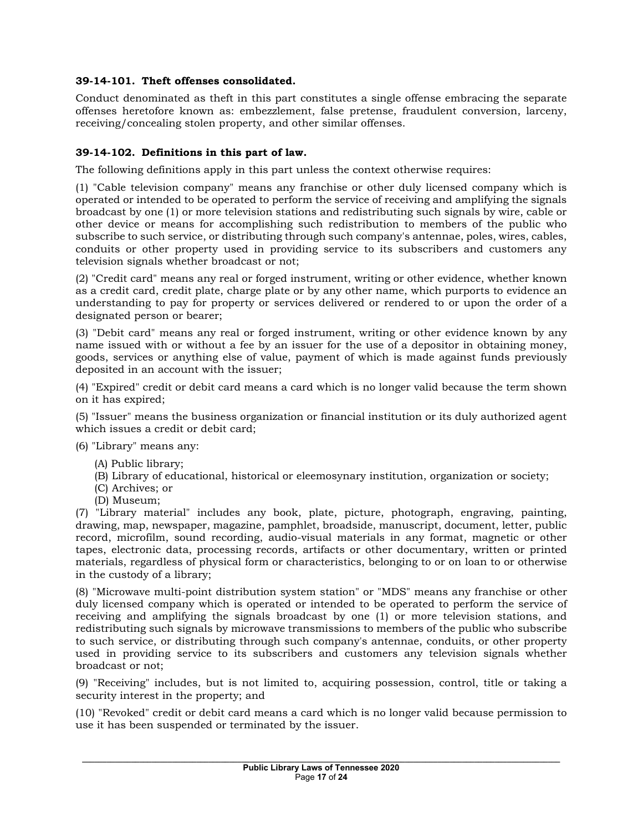# **39-14-101. Theft offenses consolidated.**

Conduct denominated as theft in this part constitutes a single offense embracing the separate offenses heretofore known as: embezzlement, false pretense, fraudulent conversion, larceny, receiving/concealing stolen property, and other similar offenses.

### **39-14-102. Definitions in this part of law.**

The following definitions apply in this part unless the context otherwise requires:

(1) "Cable television company" means any franchise or other duly licensed company which is operated or intended to be operated to perform the service of receiving and amplifying the signals broadcast by one (1) or more television stations and redistributing such signals by wire, cable or other device or means for accomplishing such redistribution to members of the public who subscribe to such service, or distributing through such company's antennae, poles, wires, cables, conduits or other property used in providing service to its subscribers and customers any television signals whether broadcast or not;

(2) "Credit card" means any real or forged instrument, writing or other evidence, whether known as a credit card, credit plate, charge plate or by any other name, which purports to evidence an understanding to pay for property or services delivered or rendered to or upon the order of a designated person or bearer;

(3) "Debit card" means any real or forged instrument, writing or other evidence known by any name issued with or without a fee by an issuer for the use of a depositor in obtaining money, goods, services or anything else of value, payment of which is made against funds previously deposited in an account with the issuer;

(4) "Expired" credit or debit card means a card which is no longer valid because the term shown on it has expired;

(5) "Issuer" means the business organization or financial institution or its duly authorized agent which issues a credit or debit card;

(6) "Library" means any:

- (A) Public library;
- (B) Library of educational, historical or eleemosynary institution, organization or society;
- (C) Archives; or
- (D) Museum;

(7) "Library material" includes any book, plate, picture, photograph, engraving, painting, drawing, map, newspaper, magazine, pamphlet, broadside, manuscript, document, letter, public record, microfilm, sound recording, audio-visual materials in any format, magnetic or other tapes, electronic data, processing records, artifacts or other documentary, written or printed materials, regardless of physical form or characteristics, belonging to or on loan to or otherwise in the custody of a library;

(8) "Microwave multi-point distribution system station" or "MDS" means any franchise or other duly licensed company which is operated or intended to be operated to perform the service of receiving and amplifying the signals broadcast by one (1) or more television stations, and redistributing such signals by microwave transmissions to members of the public who subscribe to such service, or distributing through such company's antennae, conduits, or other property used in providing service to its subscribers and customers any television signals whether broadcast or not;

(9) "Receiving" includes, but is not limited to, acquiring possession, control, title or taking a security interest in the property; and

(10) "Revoked" credit or debit card means a card which is no longer valid because permission to use it has been suspended or terminated by the issuer.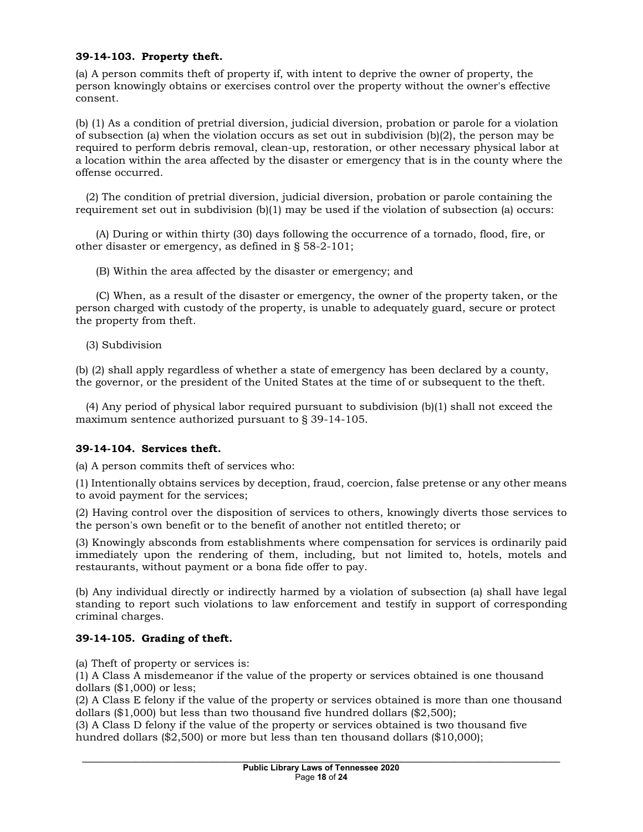### **39-14-103. Property theft.**

(a) A person commits theft of property if, with intent to deprive the owner of property, the person knowingly obtains or exercises control over the property without the owner's effective consent.

(b) (1) As a condition of pretrial diversion, judicial diversion, probation or parole for a violation of subsection (a) when the violation occurs as set out in subdivision (b)(2), the person may be required to perform debris removal, clean-up, restoration, or other necessary physical labor at a location within the area affected by the disaster or emergency that is in the county where the offense occurred.

 (2) The condition of pretrial diversion, judicial diversion, probation or parole containing the requirement set out in subdivision (b)(1) may be used if the violation of subsection (a) occurs:

 (A) During or within thirty (30) days following the occurrence of a tornado, flood, fire, or other disaster or emergency, as defined in § 58-2-101;

(B) Within the area affected by the disaster or emergency; and

 (C) When, as a result of the disaster or emergency, the owner of the property taken, or the person charged with custody of the property, is unable to adequately guard, secure or protect the property from theft.

(3) Subdivision

(b) (2) shall apply regardless of whether a state of emergency has been declared by a county, the governor, or the president of the United States at the time of or subsequent to the theft.

 (4) Any period of physical labor required pursuant to subdivision (b)(1) shall not exceed the maximum sentence authorized pursuant to § 39-14-105.

### **39-14-104. Services theft.**

(a) A person commits theft of services who:

(1) Intentionally obtains services by deception, fraud, coercion, false pretense or any other means to avoid payment for the services;

(2) Having control over the disposition of services to others, knowingly diverts those services to the person's own benefit or to the benefit of another not entitled thereto; or

(3) Knowingly absconds from establishments where compensation for services is ordinarily paid immediately upon the rendering of them, including, but not limited to, hotels, motels and restaurants, without payment or a bona fide offer to pay.

(b) Any individual directly or indirectly harmed by a violation of subsection (a) shall have legal standing to report such violations to law enforcement and testify in support of corresponding criminal charges.

### **39-14-105. Grading of theft.**

(a) Theft of property or services is:

(1) A Class A misdemeanor if the value of the property or services obtained is one thousand dollars (\$1,000) or less;

(2) A Class E felony if the value of the property or services obtained is more than one thousand dollars (\$1,000) but less than two thousand five hundred dollars (\$2,500);

(3) A Class D felony if the value of the property or services obtained is two thousand five hundred dollars (\$2,500) or more but less than ten thousand dollars (\$10,000);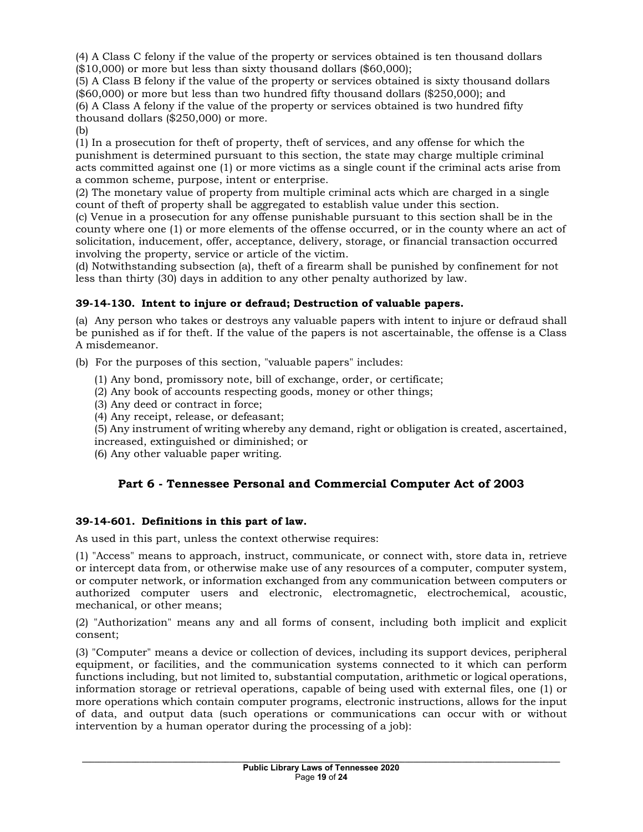(4) A Class C felony if the value of the property or services obtained is ten thousand dollars  $($10,000)$  or more but less than sixty thousand dollars  $($60,000)$ ;

(5) A Class B felony if the value of the property or services obtained is sixty thousand dollars (\$60,000) or more but less than two hundred fifty thousand dollars (\$250,000); and (6) A Class A felony if the value of the property or services obtained is two hundred fifty thousand dollars (\$250,000) or more. (b)

(1) In a prosecution for theft of property, theft of services, and any offense for which the punishment is determined pursuant to this section, the state may charge multiple criminal acts committed against one (1) or more victims as a single count if the criminal acts arise from a common scheme, purpose, intent or enterprise.

(2) The monetary value of property from multiple criminal acts which are charged in a single count of theft of property shall be aggregated to establish value under this section.

(c) Venue in a prosecution for any offense punishable pursuant to this section shall be in the county where one (1) or more elements of the offense occurred, or in the county where an act of solicitation, inducement, offer, acceptance, delivery, storage, or financial transaction occurred involving the property, service or article of the victim.

(d) Notwithstanding subsection (a), theft of a firearm shall be punished by confinement for not less than thirty (30) days in addition to any other penalty authorized by law.

# **39-14-130. Intent to injure or defraud; Destruction of valuable papers.**

(a) Any person who takes or destroys any valuable papers with intent to injure or defraud shall be punished as if for theft. If the value of the papers is not ascertainable, the offense is a Class A misdemeanor.

(b) For the purposes of this section, "valuable papers" includes:

- (1) Any bond, promissory note, bill of exchange, order, or certificate;
- (2) Any book of accounts respecting goods, money or other things;
- (3) Any deed or contract in force;
- (4) Any receipt, release, or defeasant;

(5) Any instrument of writing whereby any demand, right or obligation is created, ascertained, increased, extinguished or diminished; or

(6) Any other valuable paper writing.

# **Part 6 - Tennessee Personal and Commercial Computer Act of 2003**

# **39-14-601. Definitions in this part of law.**

As used in this part, unless the context otherwise requires:

(1) "Access" means to approach, instruct, communicate, or connect with, store data in, retrieve or intercept data from, or otherwise make use of any resources of a computer, computer system, or computer network, or information exchanged from any communication between computers or authorized computer users and electronic, electromagnetic, electrochemical, acoustic, mechanical, or other means;

(2) "Authorization" means any and all forms of consent, including both implicit and explicit consent;

(3) "Computer" means a device or collection of devices, including its support devices, peripheral equipment, or facilities, and the communication systems connected to it which can perform functions including, but not limited to, substantial computation, arithmetic or logical operations, information storage or retrieval operations, capable of being used with external files, one (1) or more operations which contain computer programs, electronic instructions, allows for the input of data, and output data (such operations or communications can occur with or without intervention by a human operator during the processing of a job):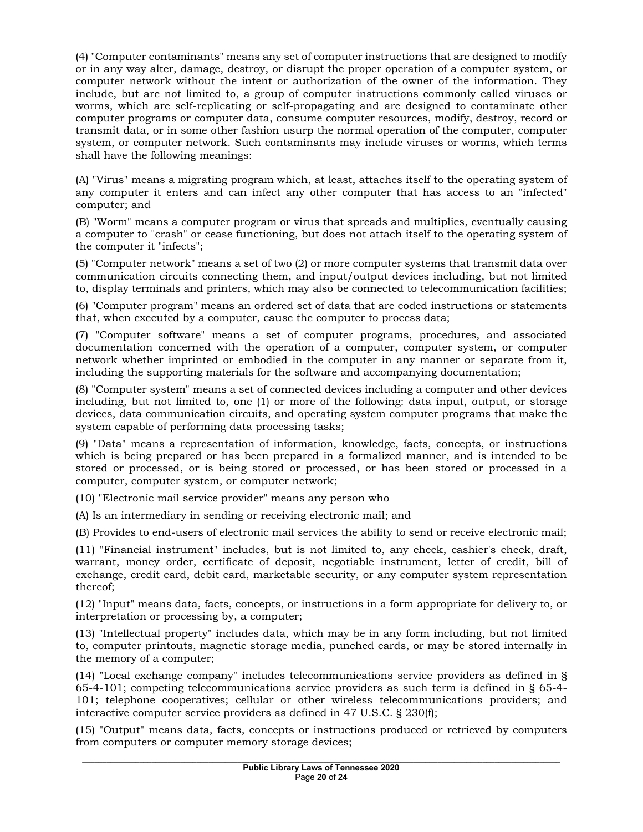(4) "Computer contaminants" means any set of computer instructions that are designed to modify or in any way alter, damage, destroy, or disrupt the proper operation of a computer system, or computer network without the intent or authorization of the owner of the information. They include, but are not limited to, a group of computer instructions commonly called viruses or worms, which are self-replicating or self-propagating and are designed to contaminate other computer programs or computer data, consume computer resources, modify, destroy, record or transmit data, or in some other fashion usurp the normal operation of the computer, computer system, or computer network. Such contaminants may include viruses or worms, which terms shall have the following meanings:

(A) "Virus" means a migrating program which, at least, attaches itself to the operating system of any computer it enters and can infect any other computer that has access to an "infected" computer; and

(B) "Worm" means a computer program or virus that spreads and multiplies, eventually causing a computer to "crash" or cease functioning, but does not attach itself to the operating system of the computer it "infects";

(5) "Computer network" means a set of two (2) or more computer systems that transmit data over communication circuits connecting them, and input/output devices including, but not limited to, display terminals and printers, which may also be connected to telecommunication facilities;

(6) "Computer program" means an ordered set of data that are coded instructions or statements that, when executed by a computer, cause the computer to process data;

(7) "Computer software" means a set of computer programs, procedures, and associated documentation concerned with the operation of a computer, computer system, or computer network whether imprinted or embodied in the computer in any manner or separate from it, including the supporting materials for the software and accompanying documentation;

(8) "Computer system" means a set of connected devices including a computer and other devices including, but not limited to, one (1) or more of the following: data input, output, or storage devices, data communication circuits, and operating system computer programs that make the system capable of performing data processing tasks;

(9) "Data" means a representation of information, knowledge, facts, concepts, or instructions which is being prepared or has been prepared in a formalized manner, and is intended to be stored or processed, or is being stored or processed, or has been stored or processed in a computer, computer system, or computer network;

(10) "Electronic mail service provider" means any person who

(A) Is an intermediary in sending or receiving electronic mail; and

(B) Provides to end-users of electronic mail services the ability to send or receive electronic mail;

(11) "Financial instrument" includes, but is not limited to, any check, cashier's check, draft, warrant, money order, certificate of deposit, negotiable instrument, letter of credit, bill of exchange, credit card, debit card, marketable security, or any computer system representation thereof;

(12) "Input" means data, facts, concepts, or instructions in a form appropriate for delivery to, or interpretation or processing by, a computer;

(13) "Intellectual property" includes data, which may be in any form including, but not limited to, computer printouts, magnetic storage media, punched cards, or may be stored internally in the memory of a computer;

(14) "Local exchange company" includes telecommunications service providers as defined in § 65-4-101; competing telecommunications service providers as such term is defined in § 65-4- 101; telephone cooperatives; cellular or other wireless telecommunications providers; and interactive computer service providers as defined in 47 U.S.C. § 230(f);

(15) "Output" means data, facts, concepts or instructions produced or retrieved by computers from computers or computer memory storage devices;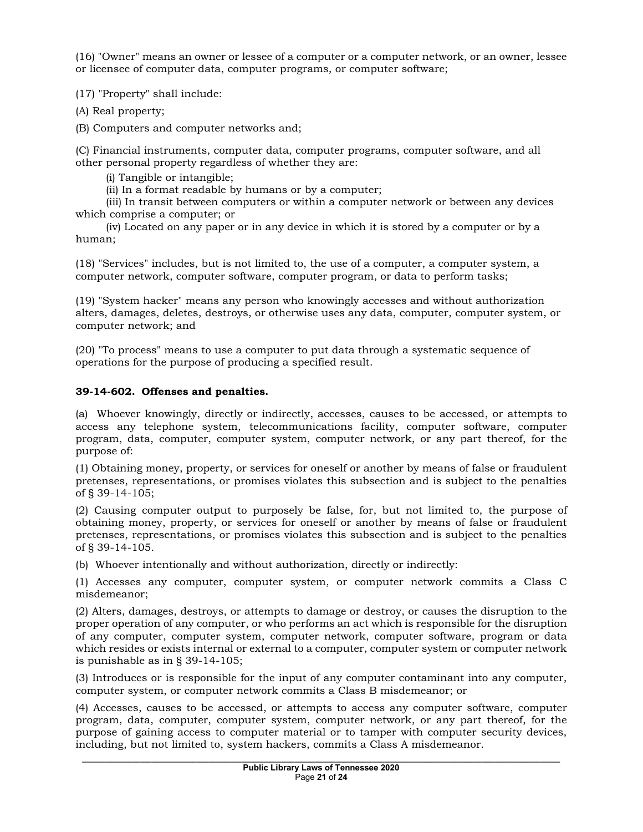(16) "Owner" means an owner or lessee of a computer or a computer network, or an owner, lessee or licensee of computer data, computer programs, or computer software;

(17) "Property" shall include:

(A) Real property;

(B) Computers and computer networks and;

(C) Financial instruments, computer data, computer programs, computer software, and all other personal property regardless of whether they are:

(i) Tangible or intangible;

(ii) In a format readable by humans or by a computer;

 (iii) In transit between computers or within a computer network or between any devices which comprise a computer; or

 (iv) Located on any paper or in any device in which it is stored by a computer or by a human;

(18) "Services" includes, but is not limited to, the use of a computer, a computer system, a computer network, computer software, computer program, or data to perform tasks;

(19) "System hacker" means any person who knowingly accesses and without authorization alters, damages, deletes, destroys, or otherwise uses any data, computer, computer system, or computer network; and

(20) "To process" means to use a computer to put data through a systematic sequence of operations for the purpose of producing a specified result.

### **39-14-602. Offenses and penalties.**

(a) Whoever knowingly, directly or indirectly, accesses, causes to be accessed, or attempts to access any telephone system, telecommunications facility, computer software, computer program, data, computer, computer system, computer network, or any part thereof, for the purpose of:

(1) Obtaining money, property, or services for oneself or another by means of false or fraudulent pretenses, representations, or promises violates this subsection and is subject to the penalties of § 39-14-105;

(2) Causing computer output to purposely be false, for, but not limited to, the purpose of obtaining money, property, or services for oneself or another by means of false or fraudulent pretenses, representations, or promises violates this subsection and is subject to the penalties of § 39-14-105.

(b) Whoever intentionally and without authorization, directly or indirectly:

(1) Accesses any computer, computer system, or computer network commits a Class C misdemeanor;

(2) Alters, damages, destroys, or attempts to damage or destroy, or causes the disruption to the proper operation of any computer, or who performs an act which is responsible for the disruption of any computer, computer system, computer network, computer software, program or data which resides or exists internal or external to a computer, computer system or computer network is punishable as in § 39-14-105;

(3) Introduces or is responsible for the input of any computer contaminant into any computer, computer system, or computer network commits a Class B misdemeanor; or

(4) Accesses, causes to be accessed, or attempts to access any computer software, computer program, data, computer, computer system, computer network, or any part thereof, for the purpose of gaining access to computer material or to tamper with computer security devices, including, but not limited to, system hackers, commits a Class A misdemeanor.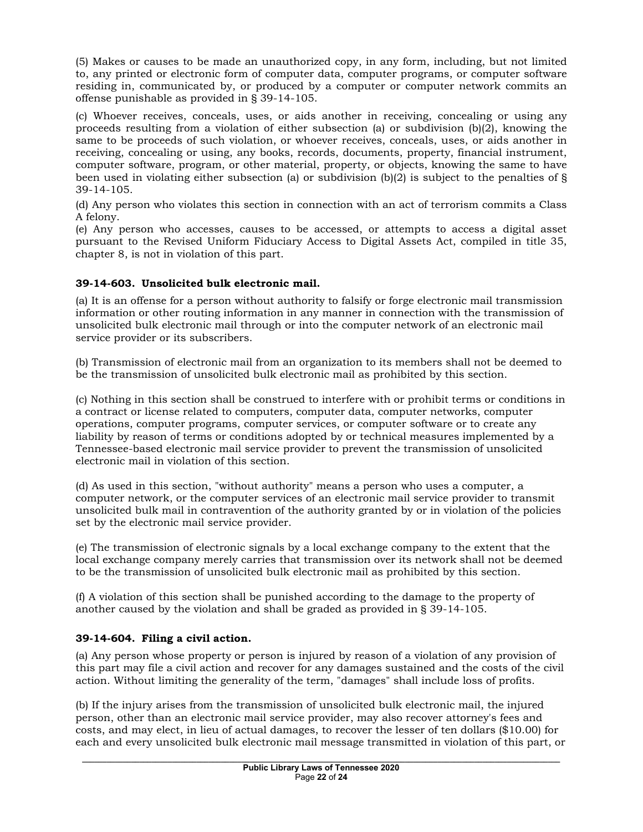(5) Makes or causes to be made an unauthorized copy, in any form, including, but not limited to, any printed or electronic form of computer data, computer programs, or computer software residing in, communicated by, or produced by a computer or computer network commits an offense punishable as provided in § 39-14-105.

(c) Whoever receives, conceals, uses, or aids another in receiving, concealing or using any proceeds resulting from a violation of either subsection (a) or subdivision  $(b)(2)$ , knowing the same to be proceeds of such violation, or whoever receives, conceals, uses, or aids another in receiving, concealing or using, any books, records, documents, property, financial instrument, computer software, program, or other material, property, or objects, knowing the same to have been used in violating either subsection (a) or subdivision  $(b)(2)$  is subject to the penalties of § 39-14-105.

(d) Any person who violates this section in connection with an act of terrorism commits a Class A felony.

(e) Any person who accesses, causes to be accessed, or attempts to access a digital asset pursuant to the Revised Uniform Fiduciary Access to Digital Assets Act, compiled in title 35, chapter 8, is not in violation of this part.

# **39-14-603. Unsolicited bulk electronic mail.**

(a) It is an offense for a person without authority to falsify or forge electronic mail transmission information or other routing information in any manner in connection with the transmission of unsolicited bulk electronic mail through or into the computer network of an electronic mail service provider or its subscribers.

(b) Transmission of electronic mail from an organization to its members shall not be deemed to be the transmission of unsolicited bulk electronic mail as prohibited by this section.

(c) Nothing in this section shall be construed to interfere with or prohibit terms or conditions in a contract or license related to computers, computer data, computer networks, computer operations, computer programs, computer services, or computer software or to create any liability by reason of terms or conditions adopted by or technical measures implemented by a Tennessee-based electronic mail service provider to prevent the transmission of unsolicited electronic mail in violation of this section.

(d) As used in this section, "without authority" means a person who uses a computer, a computer network, or the computer services of an electronic mail service provider to transmit unsolicited bulk mail in contravention of the authority granted by or in violation of the policies set by the electronic mail service provider.

(e) The transmission of electronic signals by a local exchange company to the extent that the local exchange company merely carries that transmission over its network shall not be deemed to be the transmission of unsolicited bulk electronic mail as prohibited by this section.

(f) A violation of this section shall be punished according to the damage to the property of another caused by the violation and shall be graded as provided in § 39-14-105.

### **39-14-604. Filing a civil action.**

(a) Any person whose property or person is injured by reason of a violation of any provision of this part may file a civil action and recover for any damages sustained and the costs of the civil action. Without limiting the generality of the term, "damages" shall include loss of profits.

(b) If the injury arises from the transmission of unsolicited bulk electronic mail, the injured person, other than an electronic mail service provider, may also recover attorney's fees and costs, and may elect, in lieu of actual damages, to recover the lesser of ten dollars (\$10.00) for each and every unsolicited bulk electronic mail message transmitted in violation of this part, or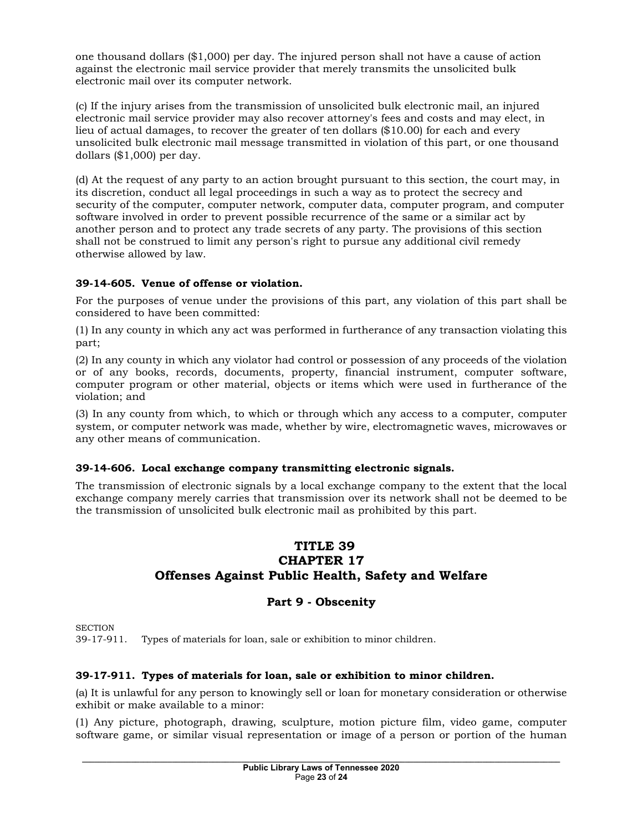one thousand dollars (\$1,000) per day. The injured person shall not have a cause of action against the electronic mail service provider that merely transmits the unsolicited bulk electronic mail over its computer network.

(c) If the injury arises from the transmission of unsolicited bulk electronic mail, an injured electronic mail service provider may also recover attorney's fees and costs and may elect, in lieu of actual damages, to recover the greater of ten dollars (\$10.00) for each and every unsolicited bulk electronic mail message transmitted in violation of this part, or one thousand dollars (\$1,000) per day.

(d) At the request of any party to an action brought pursuant to this section, the court may, in its discretion, conduct all legal proceedings in such a way as to protect the secrecy and security of the computer, computer network, computer data, computer program, and computer software involved in order to prevent possible recurrence of the same or a similar act by another person and to protect any trade secrets of any party. The provisions of this section shall not be construed to limit any person's right to pursue any additional civil remedy otherwise allowed by law.

# **39-14-605. Venue of offense or violation.**

For the purposes of venue under the provisions of this part, any violation of this part shall be considered to have been committed:

(1) In any county in which any act was performed in furtherance of any transaction violating this part;

(2) In any county in which any violator had control or possession of any proceeds of the violation or of any books, records, documents, property, financial instrument, computer software, computer program or other material, objects or items which were used in furtherance of the violation; and

(3) In any county from which, to which or through which any access to a computer, computer system, or computer network was made, whether by wire, electromagnetic waves, microwaves or any other means of communication.

### **39-14-606. Local exchange company transmitting electronic signals.**

The transmission of electronic signals by a local exchange company to the extent that the local exchange company merely carries that transmission over its network shall not be deemed to be the transmission of unsolicited bulk electronic mail as prohibited by this part.

# **TITLE 39 CHAPTER 17 Offenses Against Public Health, Safety and Welfare**

# **Part 9 - Obscenity**

**SECTION** 

39-17-911. Types of materials for loan, sale or exhibition to minor children.

# **39-17-911. Types of materials for loan, sale or exhibition to minor children.**

(a) It is unlawful for any person to knowingly sell or loan for monetary consideration or otherwise exhibit or make available to a minor:

(1) Any picture, photograph, drawing, sculpture, motion picture film, video game, computer software game, or similar visual representation or image of a person or portion of the human